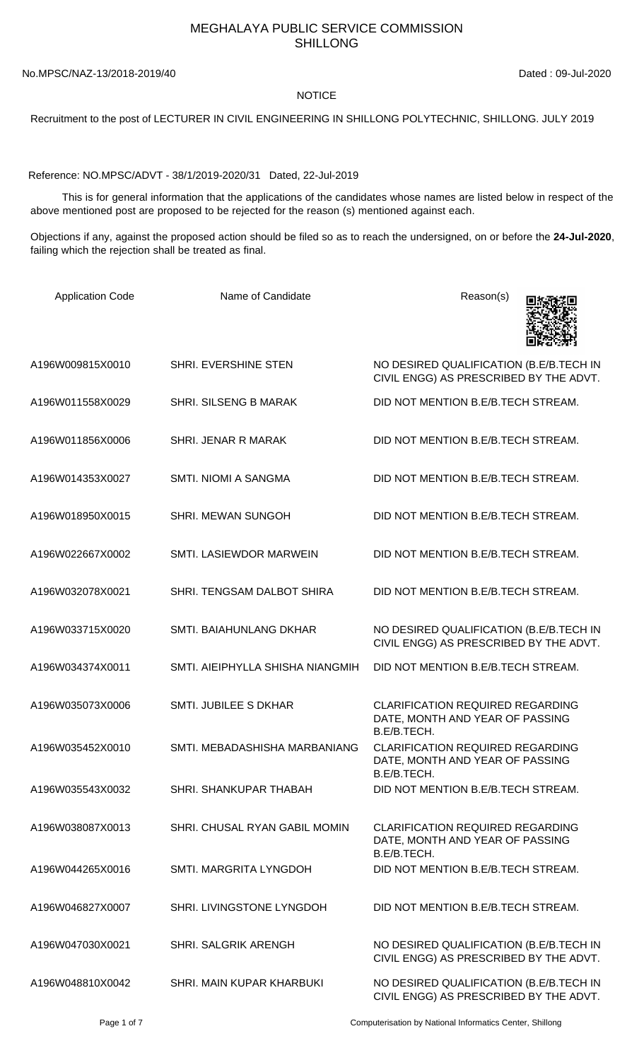## MEGHALAYA PUBLIC SERVICE COMMISSION SHILLONG

No.MPSC/NAZ-13/2018-2019/40 Dated : 09-Jul-2020

**NOTICE** 

## Recruitment to the post of LECTURER IN CIVIL ENGINEERING IN SHILLONG POLYTECHNIC, SHILLONG. JULY 2019

Reference: NO.MPSC/ADVT - 38/1/2019-2020/31 Dated, 22-Jul-2019

 This is for general information that the applications of the candidates whose names are listed below in respect of the above mentioned post are proposed to be rejected for the reason (s) mentioned against each.

Objections if any, against the proposed action should be filed so as to reach the undersigned, on or before the **24-Jul-2020**, failing which the rejection shall be treated as final.

| <b>Application Code</b> | Name of Candidate                | Reason(s)                                                                                 |
|-------------------------|----------------------------------|-------------------------------------------------------------------------------------------|
| A196W009815X0010        | <b>SHRI. EVERSHINE STEN</b>      | NO DESIRED QUALIFICATION (B.E/B.TECH IN<br>CIVIL ENGG) AS PRESCRIBED BY THE ADVT.         |
| A196W011558X0029        | <b>SHRI. SILSENG B MARAK</b>     | DID NOT MENTION B.E/B.TECH STREAM.                                                        |
| A196W011856X0006        | SHRI. JENAR R MARAK              | DID NOT MENTION B.E/B.TECH STREAM.                                                        |
| A196W014353X0027        | SMTI. NIOMI A SANGMA             | DID NOT MENTION B.E/B.TECH STREAM.                                                        |
| A196W018950X0015        | <b>SHRI. MEWAN SUNGOH</b>        | DID NOT MENTION B.E/B.TECH STREAM.                                                        |
| A196W022667X0002        | SMTI. LASIEWDOR MARWEIN          | DID NOT MENTION B.E/B.TECH STREAM.                                                        |
| A196W032078X0021        | SHRI. TENGSAM DALBOT SHIRA       | DID NOT MENTION B.E/B.TECH STREAM.                                                        |
| A196W033715X0020        | SMTI. BAIAHUNLANG DKHAR          | NO DESIRED QUALIFICATION (B.E/B.TECH IN<br>CIVIL ENGG) AS PRESCRIBED BY THE ADVT.         |
| A196W034374X0011        | SMTI. AIEIPHYLLA SHISHA NIANGMIH | DID NOT MENTION B.E/B.TECH STREAM.                                                        |
| A196W035073X0006        | SMTI. JUBILEE S DKHAR            | <b>CLARIFICATION REQUIRED REGARDING</b><br>DATE, MONTH AND YEAR OF PASSING<br>B.E/B.TECH. |
| A196W035452X0010        | SMTI. MEBADASHISHA MARBANIANG    | <b>CLARIFICATION REQUIRED REGARDING</b><br>DATE, MONTH AND YEAR OF PASSING<br>B.E/B.TECH. |
| A196W035543X0032        | SHRI. SHANKUPAR THABAH           | DID NOT MENTION B.E/B.TECH STREAM.                                                        |
| A196W038087X0013        | SHRI. CHUSAL RYAN GABIL MOMIN    | <b>CLARIFICATION REQUIRED REGARDING</b><br>DATE, MONTH AND YEAR OF PASSING<br>B.E/B.TECH. |
| A196W044265X0016        | SMTI. MARGRITA LYNGDOH           | DID NOT MENTION B.E/B.TECH STREAM.                                                        |
| A196W046827X0007        | SHRI. LIVINGSTONE LYNGDOH        | DID NOT MENTION B.E/B.TECH STREAM.                                                        |
| A196W047030X0021        | <b>SHRI. SALGRIK ARENGH</b>      | NO DESIRED QUALIFICATION (B.E/B.TECH IN<br>CIVIL ENGG) AS PRESCRIBED BY THE ADVT.         |
| A196W048810X0042        | SHRI. MAIN KUPAR KHARBUKI        | NO DESIRED QUALIFICATION (B.E/B.TECH IN<br>CIVIL ENGG) AS PRESCRIBED BY THE ADVT.         |

Page 1 of 7 Computerisation by National Informatics Center, Shillong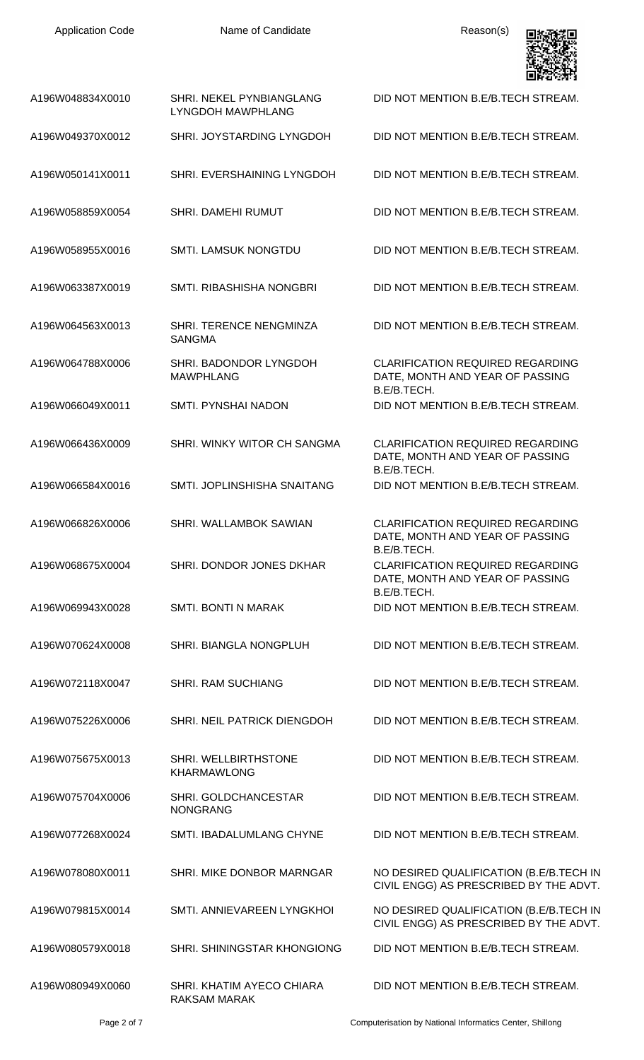

| A196W048834X0010 | SHRI. NEKEL PYNBIANGLANG<br><b>LYNGDOH MAWPHLANG</b> | DID NOT MENTION B.E/B.TECH STREAM.                                                        |
|------------------|------------------------------------------------------|-------------------------------------------------------------------------------------------|
| A196W049370X0012 | SHRI. JOYSTARDING LYNGDOH                            | DID NOT MENTION B.E/B.TECH STREAM.                                                        |
| A196W050141X0011 | SHRI. EVERSHAINING LYNGDOH                           | DID NOT MENTION B.E/B.TECH STREAM.                                                        |
| A196W058859X0054 | <b>SHRI. DAMEHI RUMUT</b>                            | DID NOT MENTION B.E/B.TECH STREAM.                                                        |
| A196W058955X0016 | <b>SMTI. LAMSUK NONGTDU</b>                          | DID NOT MENTION B.E/B.TECH STREAM.                                                        |
| A196W063387X0019 | SMTI, RIBASHISHA NONGBRI                             | DID NOT MENTION B.E/B.TECH STREAM.                                                        |
| A196W064563X0013 | SHRI. TERENCE NENGMINZA<br><b>SANGMA</b>             | DID NOT MENTION B.E/B.TECH STREAM.                                                        |
| A196W064788X0006 | SHRI. BADONDOR LYNGDOH<br><b>MAWPHLANG</b>           | <b>CLARIFICATION REQUIRED REGARDING</b><br>DATE, MONTH AND YEAR OF PASSING<br>B.E/B.TECH. |
| A196W066049X0011 | SMTI. PYNSHAI NADON                                  | DID NOT MENTION B.E/B.TECH STREAM.                                                        |
| A196W066436X0009 | SHRI. WINKY WITOR CH SANGMA                          | <b>CLARIFICATION REQUIRED REGARDING</b><br>DATE, MONTH AND YEAR OF PASSING<br>B.E/B.TECH. |
| A196W066584X0016 | SMTI. JOPLINSHISHA SNAITANG                          | DID NOT MENTION B.E/B.TECH STREAM.                                                        |
| A196W066826X0006 | SHRI. WALLAMBOK SAWIAN                               | <b>CLARIFICATION REQUIRED REGARDING</b><br>DATE, MONTH AND YEAR OF PASSING<br>B.E/B.TECH. |
| A196W068675X0004 | SHRI. DONDOR JONES DKHAR                             | <b>CLARIFICATION REQUIRED REGARDING</b><br>DATE, MONTH AND YEAR OF PASSING                |
| A196W069943X0028 | <b>SMTI. BONTI N MARAK</b>                           | B.E/B.TECH.<br>DID NOT MENTION B.E/B.TECH STREAM.                                         |
| A196W070624X0008 | SHRI. BIANGLA NONGPLUH                               | DID NOT MENTION B.E/B.TECH STREAM.                                                        |
| A196W072118X0047 | <b>SHRI. RAM SUCHIANG</b>                            | DID NOT MENTION B.E/B.TECH STREAM.                                                        |
| A196W075226X0006 | SHRI. NEIL PATRICK DIENGDOH                          | DID NOT MENTION B.E/B.TECH STREAM.                                                        |
| A196W075675X0013 | SHRI. WELLBIRTHSTONE<br><b>KHARMAWLONG</b>           | DID NOT MENTION B.E/B.TECH STREAM.                                                        |
| A196W075704X0006 | SHRI. GOLDCHANCESTAR<br><b>NONGRANG</b>              | DID NOT MENTION B.E/B.TECH STREAM.                                                        |
| A196W077268X0024 | SMTI. IBADALUMLANG CHYNE                             | DID NOT MENTION B.E/B.TECH STREAM.                                                        |
| A196W078080X0011 | SHRI. MIKE DONBOR MARNGAR                            | NO DESIRED QUALIFICATION (B.E/B.TECH IN<br>CIVIL ENGG) AS PRESCRIBED BY THE ADVT.         |
| A196W079815X0014 | SMTI. ANNIEVAREEN LYNGKHOI                           | NO DESIRED QUALIFICATION (B.E/B.TECH IN<br>CIVIL ENGG) AS PRESCRIBED BY THE ADVT.         |
| A196W080579X0018 | SHRI. SHININGSTAR KHONGIONG                          | DID NOT MENTION B.E/B.TECH STREAM.                                                        |
| A196W080949X0060 | SHRI, KHATIM AYECO CHIARA<br>RAKSAM MARAK            | DID NOT MENTION B.E/B.TECH STREAM.                                                        |

Page 2 of 7 Computerisation by National Informatics Center, Shillong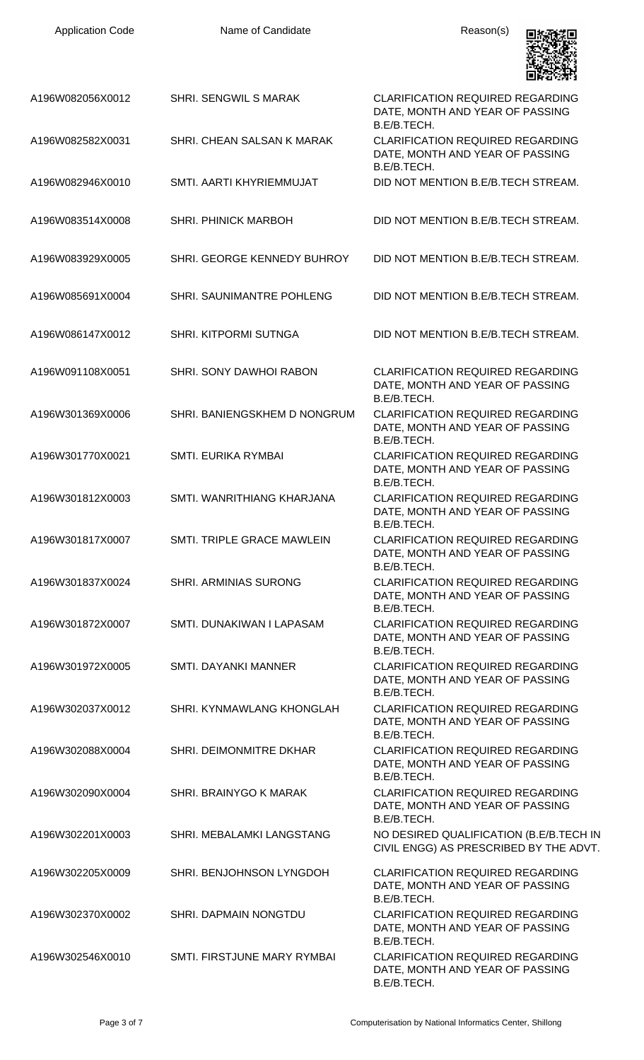| <b>Application Code</b> | Name of Candidate            | Reason(s)                                                                                 |
|-------------------------|------------------------------|-------------------------------------------------------------------------------------------|
| A196W082056X0012        | <b>SHRI. SENGWIL S MARAK</b> | <b>CLARIFICATION REQUIRED REGARDING</b><br>DATE, MONTH AND YEAR OF PASSING<br>B.E/B.TECH. |
| A196W082582X0031        | SHRI. CHEAN SALSAN K MARAK   | <b>CLARIFICATION REQUIRED REGARDING</b><br>DATE, MONTH AND YEAR OF PASSING<br>B.E/B.TECH. |
| A196W082946X0010        | SMTI. AARTI KHYRIEMMUJAT     | DID NOT MENTION B.E/B.TECH STREAM.                                                        |
| A196W083514X0008        | <b>SHRI. PHINICK MARBOH</b>  | DID NOT MENTION B.E/B.TECH STREAM.                                                        |
| A196W083929X0005        | SHRI. GEORGE KENNEDY BUHROY  | DID NOT MENTION B.E/B.TECH STREAM.                                                        |
| A196W085691X0004        | SHRI. SAUNIMANTRE POHLENG    | DID NOT MENTION B.E/B.TECH STREAM.                                                        |
| A196W086147X0012        | SHRI. KITPORMI SUTNGA        | DID NOT MENTION B.E/B.TECH STREAM.                                                        |
| A196W091108X0051        | SHRI. SONY DAWHOI RABON      | <b>CLARIFICATION REQUIRED REGARDING</b><br>DATE, MONTH AND YEAR OF PASSING<br>B.E/B.TECH. |
| A196W301369X0006        | SHRI. BANIENGSKHEM D NONGRUM | <b>CLARIFICATION REQUIRED REGARDING</b><br>DATE, MONTH AND YEAR OF PASSING<br>B.E/B.TECH. |
| A196W301770X0021        | SMTI. EURIKA RYMBAI          | <b>CLARIFICATION REQUIRED REGARDING</b><br>DATE, MONTH AND YEAR OF PASSING<br>B.E/B.TECH. |
| A196W301812X0003        | SMTI, WANRITHIANG KHARJANA   | <b>CLARIFICATION REQUIRED REGARDING</b><br>DATE, MONTH AND YEAR OF PASSING<br>B.E/B.TECH. |
| A196W301817X0007        | SMTI. TRIPLE GRACE MAWLEIN   | <b>CLARIFICATION REQUIRED REGARDING</b><br>DATE, MONTH AND YEAR OF PASSING<br>B.E/B.TECH. |
| A196W301837X0024        | <b>SHRI. ARMINIAS SURONG</b> | <b>CLARIFICATION REQUIRED REGARDING</b><br>DATE, MONTH AND YEAR OF PASSING<br>B.E/B.TECH. |
| A196W301872X0007        | SMTI, DUNAKIWAN I LAPASAM    | <b>CLARIFICATION REQUIRED REGARDING</b><br>DATE, MONTH AND YEAR OF PASSING<br>B.E/B.TECH. |
| A196W301972X0005        | <b>SMTI. DAYANKI MANNER</b>  | <b>CLARIFICATION REQUIRED REGARDING</b><br>DATE, MONTH AND YEAR OF PASSING<br>B.E/B.TECH. |
| A196W302037X0012        | SHRI. KYNMAWLANG KHONGLAH    | <b>CLARIFICATION REQUIRED REGARDING</b><br>DATE, MONTH AND YEAR OF PASSING<br>B.E/B.TECH. |
| A196W302088X0004        | SHRI. DEIMONMITRE DKHAR      | <b>CLARIFICATION REQUIRED REGARDING</b><br>DATE, MONTH AND YEAR OF PASSING<br>B.E/B.TECH. |
| A196W302090X0004        | SHRI. BRAINYGO K MARAK       | <b>CLARIFICATION REQUIRED REGARDING</b><br>DATE, MONTH AND YEAR OF PASSING<br>B.E/B.TECH. |
| A196W302201X0003        | SHRI. MEBALAMKI LANGSTANG    | NO DESIRED QUALIFICATION (B.E/B.TECH IN<br>CIVIL ENGG) AS PRESCRIBED BY THE ADVT.         |
| A196W302205X0009        | SHRI. BENJOHNSON LYNGDOH     | <b>CLARIFICATION REQUIRED REGARDING</b><br>DATE, MONTH AND YEAR OF PASSING<br>B.E/B.TECH. |
| A196W302370X0002        | SHRI. DAPMAIN NONGTDU        | <b>CLARIFICATION REQUIRED REGARDING</b><br>DATE, MONTH AND YEAR OF PASSING<br>B.E/B.TECH. |
| A196W302546X0010        | SMTI. FIRSTJUNE MARY RYMBAI  | <b>CLARIFICATION REQUIRED REGARDING</b><br>DATE, MONTH AND YEAR OF PASSING<br>B.E/B.TECH. |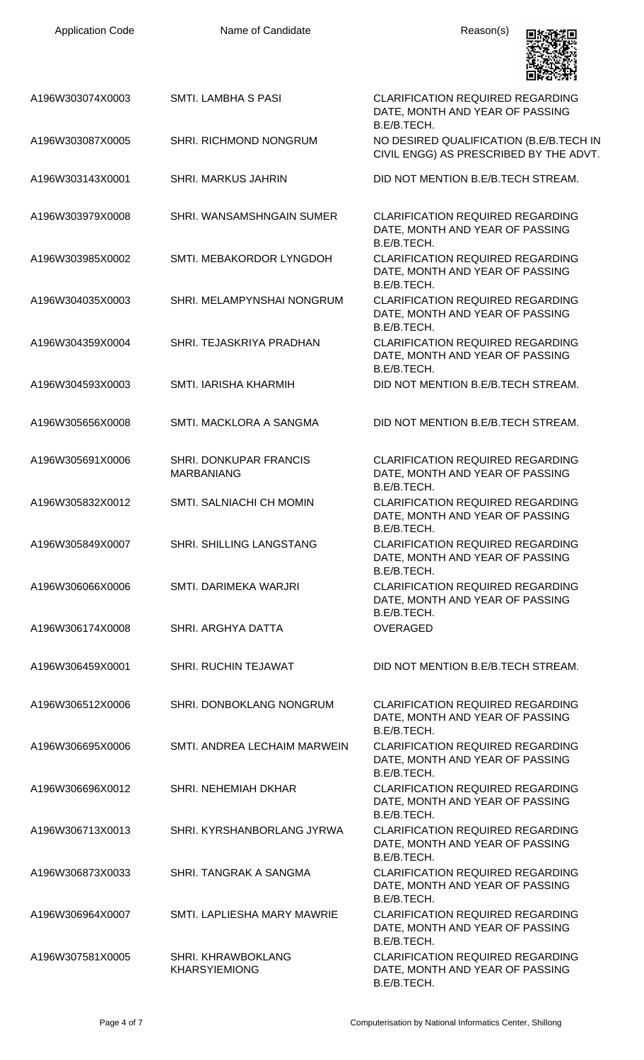| <b>Application Code</b> | Name of Candidate                           | Reason(s)                                                                                 |
|-------------------------|---------------------------------------------|-------------------------------------------------------------------------------------------|
| A196W303074X0003        | <b>SMTI. LAMBHA S PASI</b>                  | <b>CLARIFICATION REQUIRED REGARDING</b><br>DATE, MONTH AND YEAR OF PASSING<br>B.E/B.TECH. |
| A196W303087X0005        | <b>SHRI. RICHMOND NONGRUM</b>               | NO DESIRED QUALIFICATION (B.E/B.TECH IN<br>CIVIL ENGG) AS PRESCRIBED BY THE ADVT.         |
| A196W303143X0001        | <b>SHRI. MARKUS JAHRIN</b>                  | DID NOT MENTION B.E/B.TECH STREAM.                                                        |
| A196W303979X0008        | SHRI. WANSAMSHNGAIN SUMER                   | <b>CLARIFICATION REQUIRED REGARDING</b><br>DATE, MONTH AND YEAR OF PASSING<br>B.E/B.TECH. |
| A196W303985X0002        | SMTI. MEBAKORDOR LYNGDOH                    | <b>CLARIFICATION REQUIRED REGARDING</b><br>DATE, MONTH AND YEAR OF PASSING<br>B.E/B.TECH. |
| A196W304035X0003        | SHRI. MELAMPYNSHAI NONGRUM                  | <b>CLARIFICATION REQUIRED REGARDING</b><br>DATE, MONTH AND YEAR OF PASSING<br>B.E/B.TECH. |
| A196W304359X0004        | SHRI. TEJASKRIYA PRADHAN                    | <b>CLARIFICATION REQUIRED REGARDING</b><br>DATE, MONTH AND YEAR OF PASSING<br>B.E/B.TECH. |
| A196W304593X0003        | SMTI. IARISHA KHARMIH                       | DID NOT MENTION B.E/B.TECH STREAM.                                                        |
| A196W305656X0008        | SMTI. MACKLORA A SANGMA                     | DID NOT MENTION B.E/B.TECH STREAM.                                                        |
| A196W305691X0006        | SHRI. DONKUPAR FRANCIS<br><b>MARBANIANG</b> | <b>CLARIFICATION REQUIRED REGARDING</b><br>DATE, MONTH AND YEAR OF PASSING<br>B.E/B.TECH. |
| A196W305832X0012        | <b>SMTI. SALNIACHI CH MOMIN</b>             | <b>CLARIFICATION REQUIRED REGARDING</b><br>DATE, MONTH AND YEAR OF PASSING<br>B.E/B.TECH. |
| A196W305849X0007        | SHRI. SHILLING LANGSTANG                    | <b>CLARIFICATION REQUIRED REGARDING</b><br>DATE, MONTH AND YEAR OF PASSING<br>B.E/B.TECH. |
| A196W306066X0006        | SMTI. DARIMEKA WARJRI                       | <b>CLARIFICATION REQUIRED REGARDING</b><br>DATE, MONTH AND YEAR OF PASSING<br>B.E/B.TECH. |
| A196W306174X0008        | SHRI. ARGHYA DATTA                          | <b>OVERAGED</b>                                                                           |
| A196W306459X0001        | <b>SHRI. RUCHIN TEJAWAT</b>                 | DID NOT MENTION B.E/B.TECH STREAM.                                                        |
| A196W306512X0006        | SHRI. DONBOKLANG NONGRUM                    | <b>CLARIFICATION REQUIRED REGARDING</b><br>DATE, MONTH AND YEAR OF PASSING<br>B.E/B.TECH. |
| A196W306695X0006        | SMTI. ANDREA LECHAIM MARWEIN                | <b>CLARIFICATION REQUIRED REGARDING</b><br>DATE, MONTH AND YEAR OF PASSING<br>B.E/B.TECH. |
| A196W306696X0012        | SHRI. NEHEMIAH DKHAR                        | <b>CLARIFICATION REQUIRED REGARDING</b><br>DATE, MONTH AND YEAR OF PASSING<br>B.E/B.TECH. |
| A196W306713X0013        | SHRI. KYRSHANBORLANG JYRWA                  | <b>CLARIFICATION REQUIRED REGARDING</b><br>DATE, MONTH AND YEAR OF PASSING<br>B.E/B.TECH. |
| A196W306873X0033        | SHRI. TANGRAK A SANGMA                      | <b>CLARIFICATION REQUIRED REGARDING</b><br>DATE, MONTH AND YEAR OF PASSING<br>B.E/B.TECH. |
| A196W306964X0007        | SMTI. LAPLIESHA MARY MAWRIE                 | <b>CLARIFICATION REQUIRED REGARDING</b><br>DATE, MONTH AND YEAR OF PASSING<br>B.E/B.TECH. |
| A196W307581X0005        | SHRI. KHRAWBOKLANG<br><b>KHARSYIEMIONG</b>  | <b>CLARIFICATION REQUIRED REGARDING</b><br>DATE, MONTH AND YEAR OF PASSING<br>B.E/B.TECH. |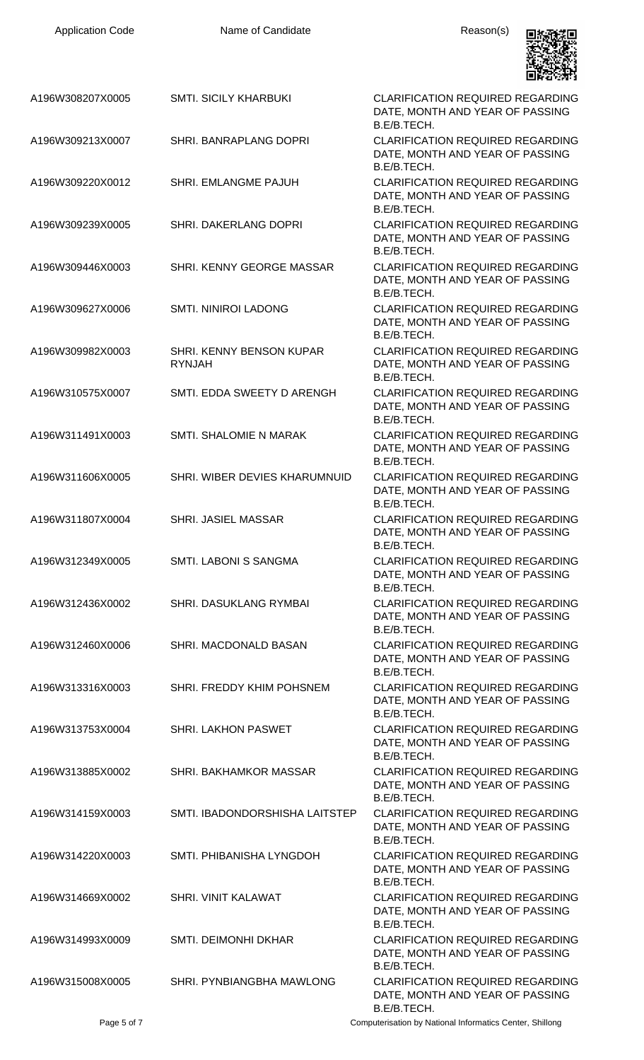| <b>Application Code</b>              | Name of Candidate                                    | Reason(s)                                                                                                                            |
|--------------------------------------|------------------------------------------------------|--------------------------------------------------------------------------------------------------------------------------------------|
| A196W308207X0005                     | <b>SMTI. SICILY KHARBUKI</b>                         | <b>CLARIFICATION REQUIRED REGARDING</b><br>DATE, MONTH AND YEAR OF PASSING<br>B.E/B.TECH.                                            |
| A196W309213X0007                     | SHRI. BANRAPLANG DOPRI                               | <b>CLARIFICATION REQUIRED REGARDING</b><br>DATE, MONTH AND YEAR OF PASSING<br>B.E/B.TECH.                                            |
| A196W309220X0012                     | SHRI. EMLANGME PAJUH                                 | <b>CLARIFICATION REQUIRED REGARDING</b><br>DATE, MONTH AND YEAR OF PASSING<br>B.E/B.TECH.                                            |
| A196W309239X0005                     | SHRI. DAKERLANG DOPRI                                | <b>CLARIFICATION REQUIRED REGARDING</b><br>DATE, MONTH AND YEAR OF PASSING<br>B.E/B.TECH.                                            |
| A196W309446X0003                     | SHRI. KENNY GEORGE MASSAR                            | <b>CLARIFICATION REQUIRED REGARDING</b><br>DATE, MONTH AND YEAR OF PASSING<br>B.E/B.TECH.                                            |
| A196W309627X0006                     | <b>SMTI. NINIROI LADONG</b>                          | <b>CLARIFICATION REQUIRED REGARDING</b><br>DATE, MONTH AND YEAR OF PASSING<br>B.E/B.TECH.                                            |
| A196W309982X0003                     | SHRI. KENNY BENSON KUPAR<br><b>RYNJAH</b>            | <b>CLARIFICATION REQUIRED REGARDING</b><br>DATE, MONTH AND YEAR OF PASSING<br>B.E/B.TECH.                                            |
| A196W310575X0007                     | SMTI. EDDA SWEETY D ARENGH                           | <b>CLARIFICATION REQUIRED REGARDING</b><br>DATE, MONTH AND YEAR OF PASSING<br>B.E/B.TECH.                                            |
| A196W311491X0003                     | SMTI. SHALOMIE N MARAK                               | <b>CLARIFICATION REQUIRED REGARDING</b><br>DATE, MONTH AND YEAR OF PASSING<br>B.E/B.TECH.                                            |
| A196W311606X0005                     | SHRI. WIBER DEVIES KHARUMNUID                        | <b>CLARIFICATION REQUIRED REGARDING</b><br>DATE, MONTH AND YEAR OF PASSING<br>B.E/B.TECH.                                            |
| A196W311807X0004                     | <b>SHRI. JASIEL MASSAR</b>                           | <b>CLARIFICATION REQUIRED REGARDING</b><br>DATE, MONTH AND YEAR OF PASSING<br>B.E/B.TECH.                                            |
| A196W312349X0005                     | SMTI. LABONI S SANGMA                                | <b>CLARIFICATION REQUIRED REGARDING</b><br>DATE, MONTH AND YEAR OF PASSING<br>B.E/B.TECH.                                            |
| A196W312436X0002                     | <b>SHRI. DASUKLANG RYMBAI</b>                        | <b>CLARIFICATION REQUIRED REGARDING</b><br>DATE, MONTH AND YEAR OF PASSING<br>B.E/B.TECH.                                            |
| A196W312460X0006                     | SHRI. MACDONALD BASAN                                | <b>CLARIFICATION REQUIRED REGARDING</b><br>DATE, MONTH AND YEAR OF PASSING<br>B.E/B.TECH.                                            |
| A196W313316X0003                     | SHRI. FREDDY KHIM POHSNEM                            | <b>CLARIFICATION REQUIRED REGARDING</b><br>DATE, MONTH AND YEAR OF PASSING<br>B.E/B.TECH.                                            |
| A196W313753X0004<br>A196W313885X0002 | <b>SHRI. LAKHON PASWET</b><br>SHRI. BAKHAMKOR MASSAR | <b>CLARIFICATION REQUIRED REGARDING</b><br>DATE, MONTH AND YEAR OF PASSING<br>B.E/B.TECH.<br><b>CLARIFICATION REQUIRED REGARDING</b> |
| A196W314159X0003                     | SMTI. IBADONDORSHISHA LAITSTEP                       | DATE, MONTH AND YEAR OF PASSING<br>B.E/B.TECH.<br><b>CLARIFICATION REQUIRED REGARDING</b>                                            |
| A196W314220X0003                     | SMTI. PHIBANISHA LYNGDOH                             | DATE, MONTH AND YEAR OF PASSING<br>B.E/B.TECH.<br><b>CLARIFICATION REQUIRED REGARDING</b>                                            |
| A196W314669X0002                     | SHRI. VINIT KALAWAT                                  | DATE, MONTH AND YEAR OF PASSING<br>B.E/B.TECH.<br><b>CLARIFICATION REQUIRED REGARDING</b>                                            |
| A196W314993X0009                     | <b>SMTI. DEIMONHI DKHAR</b>                          | DATE, MONTH AND YEAR OF PASSING<br>B.E/B.TECH.<br><b>CLARIFICATION REQUIRED REGARDING</b>                                            |
| A196W315008X0005                     | SHRI. PYNBIANGBHA MAWLONG                            | DATE, MONTH AND YEAR OF PASSING<br>B.E/B.TECH.<br><b>CLARIFICATION REQUIRED REGARDING</b>                                            |
|                                      |                                                      | DATE, MONTH AND YEAR OF PASSING<br>B.E/B.TECH.                                                                                       |

Page 5 of 7 Computerisation by National Informatics Center, Shillong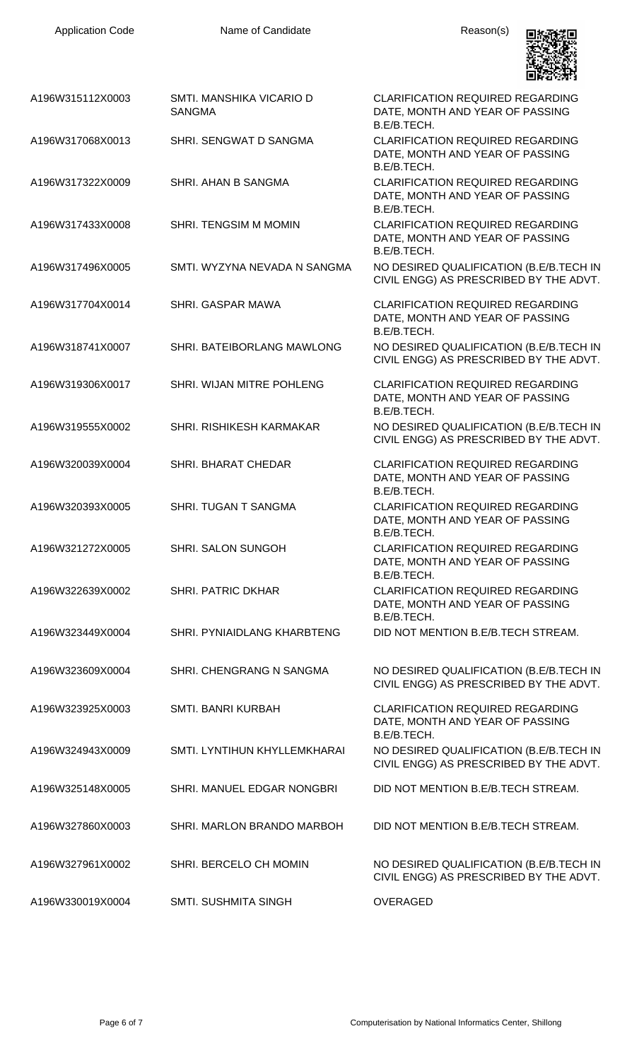

| A196W315112X0003<br>SMTI. MANSHIKA VICARIO D<br><b>CLARIFICATION REQUIRED REGARDING</b><br><b>SANGMA</b><br>DATE, MONTH AND YEAR OF PASSING<br>B.E/B.TECH.<br><b>CLARIFICATION REQUIRED REGARDING</b><br>SHRI. SENGWAT D SANGMA<br>A196W317068X0013<br>DATE, MONTH AND YEAR OF PASSING<br>B.E/B.TECH.<br>SHRI. AHAN B SANGMA<br><b>CLARIFICATION REQUIRED REGARDING</b><br>A196W317322X0009<br>DATE, MONTH AND YEAR OF PASSING<br>B.E/B.TECH.<br><b>SHRI. TENGSIM M MOMIN</b><br><b>CLARIFICATION REQUIRED REGARDING</b><br>A196W317433X0008<br>DATE, MONTH AND YEAR OF PASSING<br>B.E/B.TECH.<br>SMTI. WYZYNA NEVADA N SANGMA<br>A196W317496X0005<br><b>CLARIFICATION REQUIRED REGARDING</b><br>A196W317704X0014<br>SHRI. GASPAR MAWA<br>DATE, MONTH AND YEAR OF PASSING<br>B.E/B.TECH.<br>A196W318741X0007<br>SHRI. BATEIBORLANG MAWLONG<br>A196W319306X0017<br>SHRI. WIJAN MITRE POHLENG<br><b>CLARIFICATION REQUIRED REGARDING</b><br>DATE, MONTH AND YEAR OF PASSING<br>B.E/B.TECH.<br>SHRI. RISHIKESH KARMAKAR<br>A196W319555X0002<br><b>CLARIFICATION REQUIRED REGARDING</b><br>A196W320039X0004<br><b>SHRI. BHARAT CHEDAR</b><br>DATE, MONTH AND YEAR OF PASSING<br>B.E/B.TECH.<br>SHRI. TUGAN T SANGMA<br><b>CLARIFICATION REQUIRED REGARDING</b><br>A196W320393X0005<br>DATE, MONTH AND YEAR OF PASSING<br>B.E/B.TECH.<br>SHRI. SALON SUNGOH<br><b>CLARIFICATION REQUIRED REGARDING</b><br>A196W321272X0005<br>DATE, MONTH AND YEAR OF PASSING<br>B.E/B.TECH.<br><b>SHRI. PATRIC DKHAR</b><br><b>CLARIFICATION REQUIRED REGARDING</b><br>A196W322639X0002<br>DATE, MONTH AND YEAR OF PASSING<br>B.E/B.TECH.<br>SHRI. PYNIAIDLANG KHARBTENG<br>DID NOT MENTION B.E/B.TECH STREAM.<br>A196W323449X0004<br>SHRI. CHENGRANG N SANGMA<br>A196W323609X0004<br>SMTI. BANRI KURBAH<br><b>CLARIFICATION REQUIRED REGARDING</b><br>A196W323925X0003<br>DATE, MONTH AND YEAR OF PASSING<br>B.E/B.TECH.<br>SMTI. LYNTIHUN KHYLLEMKHARAI<br>A196W324943X0009<br>A196W325148X0005<br>SHRI. MANUEL EDGAR NONGBRI<br>DID NOT MENTION B.E/B.TECH STREAM.<br>A196W327860X0003<br>SHRI. MARLON BRANDO MARBOH<br>DID NOT MENTION B.E/B.TECH STREAM.<br>A196W327961X0002<br>SHRI. BERCELO CH MOMIN<br><b>OVERAGED</b><br>A196W330019X0004<br>SMTI. SUSHMITA SINGH |  |                                                                                   |
|--------------------------------------------------------------------------------------------------------------------------------------------------------------------------------------------------------------------------------------------------------------------------------------------------------------------------------------------------------------------------------------------------------------------------------------------------------------------------------------------------------------------------------------------------------------------------------------------------------------------------------------------------------------------------------------------------------------------------------------------------------------------------------------------------------------------------------------------------------------------------------------------------------------------------------------------------------------------------------------------------------------------------------------------------------------------------------------------------------------------------------------------------------------------------------------------------------------------------------------------------------------------------------------------------------------------------------------------------------------------------------------------------------------------------------------------------------------------------------------------------------------------------------------------------------------------------------------------------------------------------------------------------------------------------------------------------------------------------------------------------------------------------------------------------------------------------------------------------------------------------------------------------------------------------------------------------------------------------------------------------------------------------------------------------------------------------------------------------------------------------------------------------------------------------------------------------------------------------------------------------------|--|-----------------------------------------------------------------------------------|
|                                                                                                                                                                                                                                                                                                                                                                                                                                                                                                                                                                                                                                                                                                                                                                                                                                                                                                                                                                                                                                                                                                                                                                                                                                                                                                                                                                                                                                                                                                                                                                                                                                                                                                                                                                                                                                                                                                                                                                                                                                                                                                                                                                                                                                                        |  |                                                                                   |
|                                                                                                                                                                                                                                                                                                                                                                                                                                                                                                                                                                                                                                                                                                                                                                                                                                                                                                                                                                                                                                                                                                                                                                                                                                                                                                                                                                                                                                                                                                                                                                                                                                                                                                                                                                                                                                                                                                                                                                                                                                                                                                                                                                                                                                                        |  |                                                                                   |
|                                                                                                                                                                                                                                                                                                                                                                                                                                                                                                                                                                                                                                                                                                                                                                                                                                                                                                                                                                                                                                                                                                                                                                                                                                                                                                                                                                                                                                                                                                                                                                                                                                                                                                                                                                                                                                                                                                                                                                                                                                                                                                                                                                                                                                                        |  |                                                                                   |
|                                                                                                                                                                                                                                                                                                                                                                                                                                                                                                                                                                                                                                                                                                                                                                                                                                                                                                                                                                                                                                                                                                                                                                                                                                                                                                                                                                                                                                                                                                                                                                                                                                                                                                                                                                                                                                                                                                                                                                                                                                                                                                                                                                                                                                                        |  |                                                                                   |
|                                                                                                                                                                                                                                                                                                                                                                                                                                                                                                                                                                                                                                                                                                                                                                                                                                                                                                                                                                                                                                                                                                                                                                                                                                                                                                                                                                                                                                                                                                                                                                                                                                                                                                                                                                                                                                                                                                                                                                                                                                                                                                                                                                                                                                                        |  | NO DESIRED QUALIFICATION (B.E/B.TECH IN<br>CIVIL ENGG) AS PRESCRIBED BY THE ADVT. |
|                                                                                                                                                                                                                                                                                                                                                                                                                                                                                                                                                                                                                                                                                                                                                                                                                                                                                                                                                                                                                                                                                                                                                                                                                                                                                                                                                                                                                                                                                                                                                                                                                                                                                                                                                                                                                                                                                                                                                                                                                                                                                                                                                                                                                                                        |  |                                                                                   |
|                                                                                                                                                                                                                                                                                                                                                                                                                                                                                                                                                                                                                                                                                                                                                                                                                                                                                                                                                                                                                                                                                                                                                                                                                                                                                                                                                                                                                                                                                                                                                                                                                                                                                                                                                                                                                                                                                                                                                                                                                                                                                                                                                                                                                                                        |  | NO DESIRED QUALIFICATION (B.E/B.TECH IN<br>CIVIL ENGG) AS PRESCRIBED BY THE ADVT. |
|                                                                                                                                                                                                                                                                                                                                                                                                                                                                                                                                                                                                                                                                                                                                                                                                                                                                                                                                                                                                                                                                                                                                                                                                                                                                                                                                                                                                                                                                                                                                                                                                                                                                                                                                                                                                                                                                                                                                                                                                                                                                                                                                                                                                                                                        |  |                                                                                   |
|                                                                                                                                                                                                                                                                                                                                                                                                                                                                                                                                                                                                                                                                                                                                                                                                                                                                                                                                                                                                                                                                                                                                                                                                                                                                                                                                                                                                                                                                                                                                                                                                                                                                                                                                                                                                                                                                                                                                                                                                                                                                                                                                                                                                                                                        |  | NO DESIRED QUALIFICATION (B.E/B.TECH IN<br>CIVIL ENGG) AS PRESCRIBED BY THE ADVT. |
|                                                                                                                                                                                                                                                                                                                                                                                                                                                                                                                                                                                                                                                                                                                                                                                                                                                                                                                                                                                                                                                                                                                                                                                                                                                                                                                                                                                                                                                                                                                                                                                                                                                                                                                                                                                                                                                                                                                                                                                                                                                                                                                                                                                                                                                        |  |                                                                                   |
|                                                                                                                                                                                                                                                                                                                                                                                                                                                                                                                                                                                                                                                                                                                                                                                                                                                                                                                                                                                                                                                                                                                                                                                                                                                                                                                                                                                                                                                                                                                                                                                                                                                                                                                                                                                                                                                                                                                                                                                                                                                                                                                                                                                                                                                        |  |                                                                                   |
|                                                                                                                                                                                                                                                                                                                                                                                                                                                                                                                                                                                                                                                                                                                                                                                                                                                                                                                                                                                                                                                                                                                                                                                                                                                                                                                                                                                                                                                                                                                                                                                                                                                                                                                                                                                                                                                                                                                                                                                                                                                                                                                                                                                                                                                        |  |                                                                                   |
|                                                                                                                                                                                                                                                                                                                                                                                                                                                                                                                                                                                                                                                                                                                                                                                                                                                                                                                                                                                                                                                                                                                                                                                                                                                                                                                                                                                                                                                                                                                                                                                                                                                                                                                                                                                                                                                                                                                                                                                                                                                                                                                                                                                                                                                        |  |                                                                                   |
|                                                                                                                                                                                                                                                                                                                                                                                                                                                                                                                                                                                                                                                                                                                                                                                                                                                                                                                                                                                                                                                                                                                                                                                                                                                                                                                                                                                                                                                                                                                                                                                                                                                                                                                                                                                                                                                                                                                                                                                                                                                                                                                                                                                                                                                        |  |                                                                                   |
|                                                                                                                                                                                                                                                                                                                                                                                                                                                                                                                                                                                                                                                                                                                                                                                                                                                                                                                                                                                                                                                                                                                                                                                                                                                                                                                                                                                                                                                                                                                                                                                                                                                                                                                                                                                                                                                                                                                                                                                                                                                                                                                                                                                                                                                        |  | NO DESIRED QUALIFICATION (B.E/B.TECH IN<br>CIVIL ENGG) AS PRESCRIBED BY THE ADVT. |
|                                                                                                                                                                                                                                                                                                                                                                                                                                                                                                                                                                                                                                                                                                                                                                                                                                                                                                                                                                                                                                                                                                                                                                                                                                                                                                                                                                                                                                                                                                                                                                                                                                                                                                                                                                                                                                                                                                                                                                                                                                                                                                                                                                                                                                                        |  |                                                                                   |
|                                                                                                                                                                                                                                                                                                                                                                                                                                                                                                                                                                                                                                                                                                                                                                                                                                                                                                                                                                                                                                                                                                                                                                                                                                                                                                                                                                                                                                                                                                                                                                                                                                                                                                                                                                                                                                                                                                                                                                                                                                                                                                                                                                                                                                                        |  | NO DESIRED QUALIFICATION (B.E/B.TECH IN<br>CIVIL ENGG) AS PRESCRIBED BY THE ADVT. |
|                                                                                                                                                                                                                                                                                                                                                                                                                                                                                                                                                                                                                                                                                                                                                                                                                                                                                                                                                                                                                                                                                                                                                                                                                                                                                                                                                                                                                                                                                                                                                                                                                                                                                                                                                                                                                                                                                                                                                                                                                                                                                                                                                                                                                                                        |  |                                                                                   |
|                                                                                                                                                                                                                                                                                                                                                                                                                                                                                                                                                                                                                                                                                                                                                                                                                                                                                                                                                                                                                                                                                                                                                                                                                                                                                                                                                                                                                                                                                                                                                                                                                                                                                                                                                                                                                                                                                                                                                                                                                                                                                                                                                                                                                                                        |  |                                                                                   |
|                                                                                                                                                                                                                                                                                                                                                                                                                                                                                                                                                                                                                                                                                                                                                                                                                                                                                                                                                                                                                                                                                                                                                                                                                                                                                                                                                                                                                                                                                                                                                                                                                                                                                                                                                                                                                                                                                                                                                                                                                                                                                                                                                                                                                                                        |  | NO DESIRED QUALIFICATION (B.E/B.TECH IN<br>CIVIL ENGG) AS PRESCRIBED BY THE ADVT. |
|                                                                                                                                                                                                                                                                                                                                                                                                                                                                                                                                                                                                                                                                                                                                                                                                                                                                                                                                                                                                                                                                                                                                                                                                                                                                                                                                                                                                                                                                                                                                                                                                                                                                                                                                                                                                                                                                                                                                                                                                                                                                                                                                                                                                                                                        |  |                                                                                   |